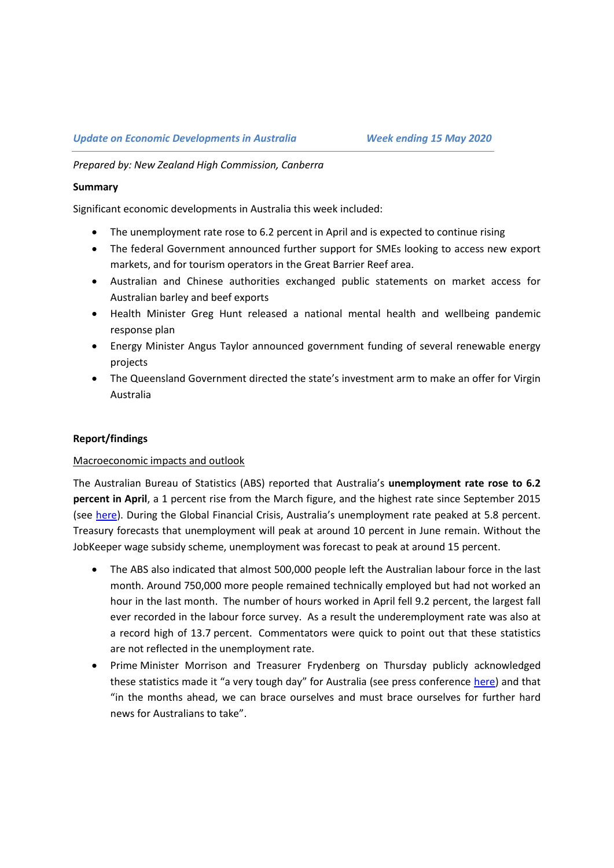*Prepared by: New Zealand High Commission, Canberra*

#### **Summary**

Significant economic developments in Australia this week included:

- The unemployment rate rose to 6.2 percent in April and is expected to continue rising
- The federal Government announced further support for SMEs looking to access new export markets, and for tourism operators in the Great Barrier Reef area.
- Australian and Chinese authorities exchanged public statements on market access for Australian barley and beef exports
- Health Minister Greg Hunt released a national mental health and wellbeing pandemic response plan
- Energy Minister Angus Taylor announced government funding of several renewable energy projects
- The Queensland Government directed the state's investment arm to make an offer for Virgin Australia

## **Report/findings**

#### Macroeconomic impacts and outlook

The Australian Bureau of Statistics (ABS) reported that Australia's **unemployment rate rose to 6.2 percent in April**, a 1 percent rise from the March figure, and the highest rate since September 2015 (see [here](https://www.abs.gov.au/ausstats/abs@.nsf/Latestproducts/6202.0Main%20Features2Apr%202020?opendocument&tabname=Summary&prodno=6202.0&issue=Apr%202020)). During the Global Financial Crisis, Australia's unemployment rate peaked at 5.8 percent. Treasury forecasts that unemployment will peak at around 10 percent in June remain. Without the JobKeeper wage subsidy scheme, unemployment was forecast to peak at around 15 percent.

- The ABS also indicated that almost 500,000 people left the Australian labour force in the last month. Around 750,000 more people remained technically employed but had not worked an hour in the last month. The number of hours worked in April fell 9.2 percent, the largest fall ever recorded in the labour force survey. As a result the underemployment rate was also at a record high of 13.7 percent. Commentators were quick to point out that these statistics are not reflected in the unemployment rate.
- Prime Minister Morrison and Treasurer Frydenberg on Thursday publicly acknowledged these statistics made it "a very tough day" for Australia (see press conference [here\)](https://www.pm.gov.au/media/press-conference-australian-parliament-house-act-14may20) and that "in the months ahead, we can brace ourselves and must brace ourselves for further hard news for Australians to take".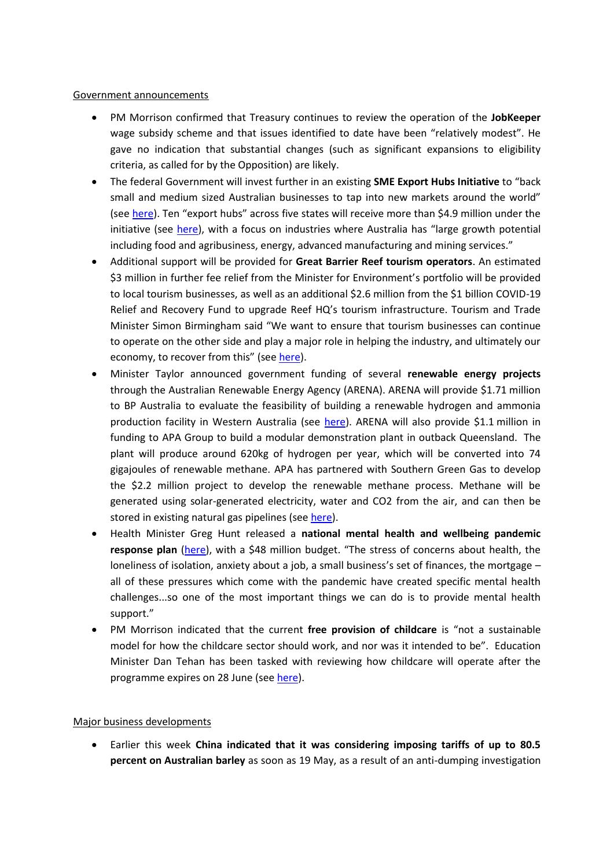## Government announcements

- PM Morrison confirmed that Treasury continues to review the operation of the **JobKeeper** wage subsidy scheme and that issues identified to date have been "relatively modest". He gave no indication that substantial changes (such as significant expansions to eligibility criteria, as called for by the Opposition) are likely.
- The federal Government will invest further in an existing **SME Export Hubs Initiative** to "back small and medium sized Australian businesses to tap into new markets around the world" (see [here](https://www.trademinister.gov.au/minister/simon-birmingham/media-release/export-hub-grants-help-businesses-through-crisis)). Ten "export hubs" across five states will receive more than \$4.9 million under the initiative (see [here](https://business.gov.au/SMEEH)), with a focus on industries where Australia has "large growth potential including food and agribusiness, energy, advanced manufacturing and mining services."
- Additional support will be provided for **Great Barrier Reef tourism operators**. An estimated \$3 million in further fee relief from the Minister for Environment's portfolio will be provided to local tourism businesses, as well as an additional \$2.6 million from the \$1 billion COVID-19 Relief and Recovery Fund to upgrade Reef HQ's tourism infrastructure. Tourism and Trade Minister Simon Birmingham said "We want to ensure that tourism businesses can continue to operate on the other side and play a major role in helping the industry, and ultimately our economy, to recover from this" (see [here\)](https://www.trademinister.gov.au/minister/simon-birmingham/media-release/great-barrier-reef-tourism-and-regional-economic-boost).
- Minister Taylor announced government funding of several **renewable energy projects** through the Australian Renewable Energy Agency (ARENA). ARENA will provide \$1.71 million to BP Australia to evaluate the feasibility of building a renewable hydrogen and ammonia production facility in Western Australia (see [here](https://www.minister.industry.gov.au/ministers/taylor/media-releases/government-supporting-unique-renewable-hydrogen-and-ammonia)). ARENA will also provide \$1.1 million in funding to APA Group to build a modular demonstration plant in outback Queensland. The plant will produce around 620kg of hydrogen per year, which will be converted into 74 gigajoules of renewable methane. APA has partnered with Southern Green Gas to develop the \$2.2 million project to develop the renewable methane process. Methane will be generated using solar-generated electricity, water and CO2 from the air, and can then be stored in existing natural gas pipelines (se[e here\)](https://www.minister.industry.gov.au/ministers/taylor/media-releases/green-gas-could-power-regional-queensland).
- Health Minister Greg Hunt released a **national mental health and wellbeing pandemic response plan** [\(here](https://www.mentalhealthcommission.gov.au/news/2020/may/national-mental-health-pandemic-response-plan)), with a \$48 million budget. "The stress of concerns about health, the loneliness of isolation, anxiety about a job, a small business's set of finances, the mortgage – all of these pressures which come with the pandemic have created specific mental health challenges...so one of the most important things we can do is to provide mental health support."
- PM Morrison indicated that the current **free provision of childcare** is "not a sustainable model for how the childcare sector should work, and nor was it intended to be". Education Minister Dan Tehan has been tasked with reviewing how childcare will operate after the programme expires on 28 June (se[e here\)](https://www.aph.gov.au/About_Parliament/Parliamentary_Departments/Parliamentary_Library/FlagPost/2020/April/Coronavirus_response-Free_child_care).

# Major business developments

 Earlier this week **China indicated that it was considering imposing tariffs of up to 80.5 percent on Australian barley** as soon as 19 May, as a result of an anti-dumping investigation